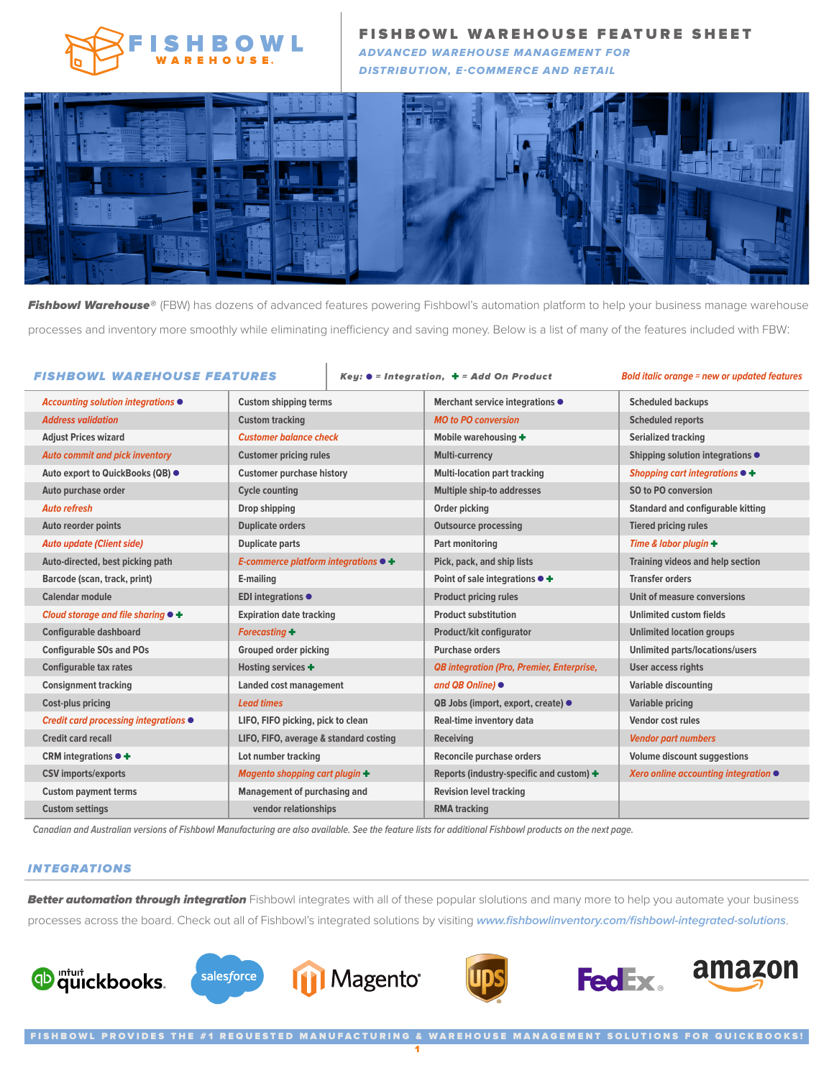

FISHBOWL WAREHOUSE FEATURE SHEET

ADVANCED WAREHOUSE MANAGEMENT FOR DISTRIBUTION, E-COMMERCE AND RETAIL



Fishbowl Warehouse® (FBW) has dozens of advanced features powering Fishbowl's automation platform to help your business manage warehouse processes and inventory more smoothly while eliminating inefficiency and saving money. Below is a list of many of the features included with FBW:

## FISHBOWL WAREHOUSE FEATURES Key: ● = Integration, ✚ = Add On Product **Bold italic orange = new or updated features**

| Accounting solution integrations ●            | <b>Custom shipping terms</b>                 | Merchant service integrations ●                  | <b>Scheduled backups</b>                     |
|-----------------------------------------------|----------------------------------------------|--------------------------------------------------|----------------------------------------------|
| <b>Address validation</b>                     | <b>Custom tracking</b>                       | <b>MO to PO conversion</b>                       | <b>Scheduled reports</b>                     |
| <b>Adjust Prices wizard</b>                   | <b>Customer balance check</b>                | Mobile warehousing +                             | <b>Serialized tracking</b>                   |
| <b>Auto commit and pick inventory</b>         | <b>Customer pricing rules</b>                | Multi-currency                                   | Shipping solution integrations $\bullet$     |
| Auto export to QuickBooks (QB) ●              | <b>Customer purchase history</b>             | <b>Multi-location part tracking</b>              | Shopping cart integrations $\bullet +$       |
| Auto purchase order                           | <b>Cycle counting</b>                        | Multiple ship-to addresses                       | SO to PO conversion                          |
| <b>Auto refresh</b>                           | Drop shipping                                | Order picking                                    | <b>Standard and configurable kitting</b>     |
| Auto reorder points                           | <b>Duplicate orders</b>                      | <b>Outsource processing</b>                      | <b>Tiered pricing rules</b>                  |
| <b>Auto update (Client side)</b>              | <b>Duplicate parts</b>                       | Part monitoring                                  | Time & labor plugin $+$                      |
| Auto-directed, best picking path              | E-commerce platform integrations $\bullet$ + | Pick, pack, and ship lists                       | <b>Training videos and help section</b>      |
| Barcode (scan, track, print)                  | E-mailing                                    | Point of sale integrations ● +                   | <b>Transfer orders</b>                       |
| <b>Calendar module</b>                        | EDI integrations $\bullet$                   | <b>Product pricing rules</b>                     | Unit of measure conversions                  |
| Cloud storage and file sharing $\bullet$ +    | <b>Expiration date tracking</b>              | <b>Product substitution</b>                      | Unlimited custom fields                      |
| <b>Configurable dashboard</b>                 | <b>Forecasting +</b>                         | Product/kit configurator                         | <b>Unlimited location groups</b>             |
| <b>Configurable SOs and POs</b>               | <b>Grouped order picking</b>                 | <b>Purchase orders</b>                           | <b>Unlimited parts/locations/users</b>       |
| <b>Configurable tax rates</b>                 | Hosting services +                           | <b>QB</b> integration (Pro, Premier, Enterprise, | <b>User access rights</b>                    |
| <b>Consignment tracking</b>                   | Landed cost management                       | and QB Online) ●                                 | <b>Variable discounting</b>                  |
| Cost-plus pricing                             | <b>Lead times</b>                            | QB Jobs (import, export, create) ●               | Variable pricing                             |
| Credit card processing integrations $\bullet$ | LIFO, FIFO picking, pick to clean            | Real-time inventory data                         | Vendor cost rules                            |
| Credit card recall                            | LIFO, FIFO, average & standard costing       | Receiving                                        | <b>Vendor part numbers</b>                   |
| CRM integrations $\bullet$ +                  | Lot number tracking                          | Reconcile purchase orders                        | <b>Volume discount suggestions</b>           |
| <b>CSV</b> imports/exports                    | Magento shopping cart plugin +               | Reports (industry-specific and custom) +         | Xero online accounting integration $\bullet$ |
| <b>Custom payment terms</b>                   | Management of purchasing and                 | <b>Revision level tracking</b>                   |                                              |
| <b>Custom settings</b>                        | vendor relationships                         | <b>RMA</b> tracking                              |                                              |

**Canadian and Australian versions of Fishbowl Manufacturing are also available. See the feature lists for additional Fishbowl products on the next page.**

## INTEGRATIONS

Better automation through integration Fishbowl integrates with all of these popular slolutions and many more to help you automate your business processes across the board. Check out all of Fishbowl's integrated solutions by visiting **www.fishbowlinventory.com/fishbowl-integrated-solutions**.